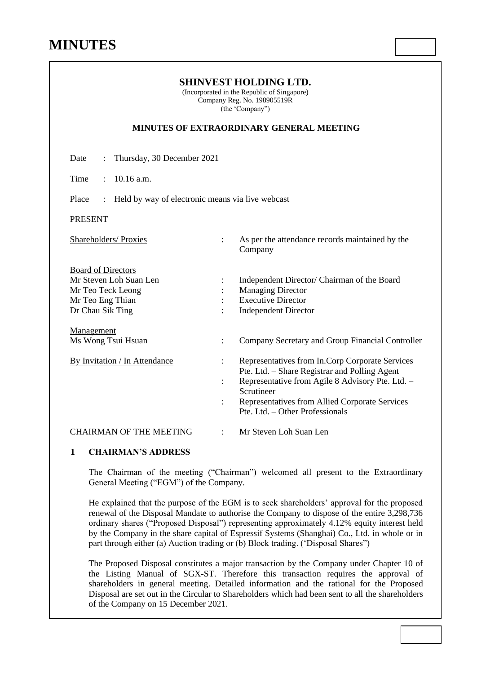| (Incorporated in the Republic of Singapore)<br>Company Reg. No. 198905519R<br>(the 'Company')<br><b>MINUTES OF EXTRAORDINARY GENERAL MEETING</b> |                                                                                                                                                                                                                                                         |  |  |  |                                    |
|--------------------------------------------------------------------------------------------------------------------------------------------------|---------------------------------------------------------------------------------------------------------------------------------------------------------------------------------------------------------------------------------------------------------|--|--|--|------------------------------------|
|                                                                                                                                                  |                                                                                                                                                                                                                                                         |  |  |  | Date<br>Thursday, 30 December 2021 |
| Time<br>$10.16$ a.m.<br>$\ddot{\cdot}$                                                                                                           |                                                                                                                                                                                                                                                         |  |  |  |                                    |
| Place<br>Held by way of electronic means via live webcast<br>$\ddot{\cdot}$                                                                      |                                                                                                                                                                                                                                                         |  |  |  |                                    |
| <b>PRESENT</b>                                                                                                                                   |                                                                                                                                                                                                                                                         |  |  |  |                                    |
| Shareholders/ Proxies                                                                                                                            | As per the attendance records maintained by the<br>$\ddot{\phantom{a}}$<br>Company                                                                                                                                                                      |  |  |  |                                    |
| <b>Board of Directors</b><br>Mr Steven Loh Suan Len<br>Mr Teo Teck Leong<br>Mr Teo Eng Thian<br>Dr Chau Sik Ting                                 | Independent Director/ Chairman of the Board<br><b>Managing Director</b><br><b>Executive Director</b><br><b>Independent Director</b>                                                                                                                     |  |  |  |                                    |
| Management<br>Ms Wong Tsui Hsuan                                                                                                                 | Company Secretary and Group Financial Controller<br>$\ddot{\cdot}$                                                                                                                                                                                      |  |  |  |                                    |
| By Invitation / In Attendance                                                                                                                    | Representatives from In.Corp Corporate Services<br>Pte. Ltd. - Share Registrar and Polling Agent<br>Representative from Agile 8 Advisory Pte. Ltd. -<br>Scrutineer<br>Representatives from Allied Corporate Services<br>Pte. Ltd. - Other Professionals |  |  |  |                                    |
| <b>CHAIRMAN OF THE MEETING</b>                                                                                                                   | Mr Steven Loh Suan Len<br>$\ddot{\cdot}$                                                                                                                                                                                                                |  |  |  |                                    |

**SHINVEST HOLDING LTD.**

## **1 CHAIRMAN'S ADDRESS**

The Chairman of the meeting ("Chairman") welcomed all present to the Extraordinary General Meeting ("EGM") of the Company.

He explained that the purpose of the EGM is to seek shareholders' approval for the proposed renewal of the Disposal Mandate to authorise the Company to dispose of the entire 3,298,736 ordinary shares ("Proposed Disposal") representing approximately 4.12% equity interest held by the Company in the share capital of Espressif Systems (Shanghai) Co., Ltd. in whole or in part through either (a) Auction trading or (b) Block trading. ('Disposal Shares")

The Proposed Disposal constitutes a major transaction by the Company under Chapter 10 of the Listing Manual of SGX-ST. Therefore this transaction requires the approval of shareholders in general meeting. Detailed information and the rational for the Proposed Disposal are set out in the Circular to Shareholders which had been sent to all the shareholders of the Company on 15 December 2021.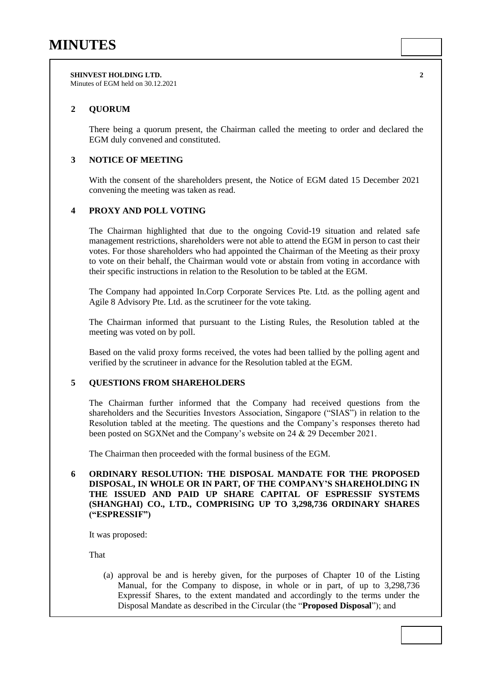**SHINVEST HOLDING LTD. 2** Minutes of EGM held on 30.12.2021

## **2 QUORUM**

There being a quorum present, the Chairman called the meeting to order and declared the EGM duly convened and constituted.

### **3 NOTICE OF MEETING**

With the consent of the shareholders present, the Notice of EGM dated 15 December 2021 convening the meeting was taken as read.

## **4 PROXY AND POLL VOTING**

The Chairman highlighted that due to the ongoing Covid-19 situation and related safe management restrictions, shareholders were not able to attend the EGM in person to cast their votes. For those shareholders who had appointed the Chairman of the Meeting as their proxy to vote on their behalf, the Chairman would vote or abstain from voting in accordance with their specific instructions in relation to the Resolution to be tabled at the EGM.

The Company had appointed In.Corp Corporate Services Pte. Ltd. as the polling agent and Agile 8 Advisory Pte. Ltd. as the scrutineer for the vote taking.

The Chairman informed that pursuant to the Listing Rules, the Resolution tabled at the meeting was voted on by poll.

Based on the valid proxy forms received, the votes had been tallied by the polling agent and verified by the scrutineer in advance for the Resolution tabled at the EGM.

#### **5 QUESTIONS FROM SHAREHOLDERS**

The Chairman further informed that the Company had received questions from the shareholders and the Securities Investors Association, Singapore ("SIAS") in relation to the Resolution tabled at the meeting. The questions and the Company's responses thereto had been posted on SGXNet and the Company's website on 24 & 29 December 2021.

The Chairman then proceeded with the formal business of the EGM.

### **6 ORDINARY RESOLUTION: THE DISPOSAL MANDATE FOR THE PROPOSED DISPOSAL, IN WHOLE OR IN PART, OF THE COMPANY'S SHAREHOLDING IN THE ISSUED AND PAID UP SHARE CAPITAL OF ESPRESSIF SYSTEMS (SHANGHAI) CO., LTD., COMPRISING UP TO 3,298,736 ORDINARY SHARES ("ESPRESSIF")**

It was proposed:

That

(a) approval be and is hereby given, for the purposes of Chapter 10 of the Listing Manual, for the Company to dispose, in whole or in part, of up to 3,298,736 Expressif Shares, to the extent mandated and accordingly to the terms under the Disposal Mandate as described in the Circular (the "**Proposed Disposal**"); and